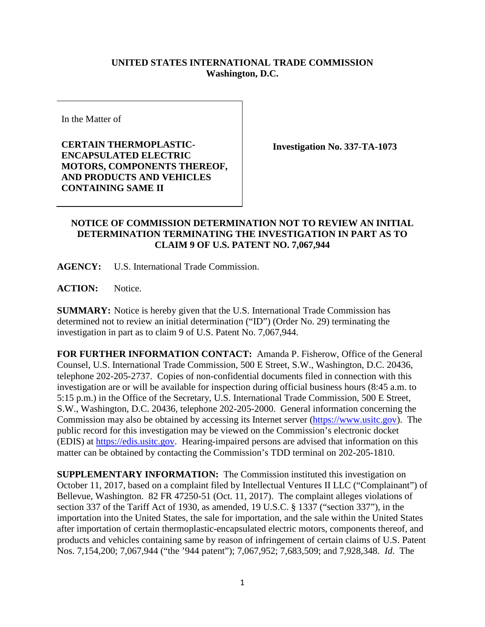## **UNITED STATES INTERNATIONAL TRADE COMMISSION Washington, D.C.**

In the Matter of

**CERTAIN THERMOPLASTIC-ENCAPSULATED ELECTRIC MOTORS, COMPONENTS THEREOF, AND PRODUCTS AND VEHICLES CONTAINING SAME II**

**Investigation No. 337-TA-1073**

## **NOTICE OF COMMISSION DETERMINATION NOT TO REVIEW AN INITIAL DETERMINATION TERMINATING THE INVESTIGATION IN PART AS TO CLAIM 9 OF U.S. PATENT NO. 7,067,944**

**AGENCY:** U.S. International Trade Commission.

**ACTION:** Notice.

**SUMMARY:** Notice is hereby given that the U.S. International Trade Commission has determined not to review an initial determination ("ID") (Order No. 29) terminating the investigation in part as to claim 9 of U.S. Patent No. 7,067,944.

**FOR FURTHER INFORMATION CONTACT:** Amanda P. Fisherow, Office of the General Counsel, U.S. International Trade Commission, 500 E Street, S.W., Washington, D.C. 20436, telephone 202-205-2737. Copies of non-confidential documents filed in connection with this investigation are or will be available for inspection during official business hours (8:45 a.m. to 5:15 p.m.) in the Office of the Secretary, U.S. International Trade Commission, 500 E Street, S.W., Washington, D.C. 20436, telephone 202-205-2000. General information concerning the Commission may also be obtained by accessing its Internet server [\(https://www.usitc.gov\)](https://www.usitc.gov/). The public record for this investigation may be viewed on the Commission's electronic docket (EDIS) at [https://edis.usitc.gov.](https://edis.usitc.gov/) Hearing-impaired persons are advised that information on this matter can be obtained by contacting the Commission's TDD terminal on 202-205-1810.

**SUPPLEMENTARY INFORMATION:** The Commission instituted this investigation on October 11, 2017, based on a complaint filed by Intellectual Ventures II LLC ("Complainant") of Bellevue, Washington. 82 FR 47250-51 (Oct. 11, 2017). The complaint alleges violations of section 337 of the Tariff Act of 1930, as amended, 19 U.S.C. § 1337 ("section 337"), in the importation into the United States, the sale for importation, and the sale within the United States after importation of certain thermoplastic-encapsulated electric motors, components thereof, and products and vehicles containing same by reason of infringement of certain claims of U.S. Patent Nos. 7,154,200; 7,067,944 ("the '944 patent"); 7,067,952; 7,683,509; and 7,928,348. *Id*. The